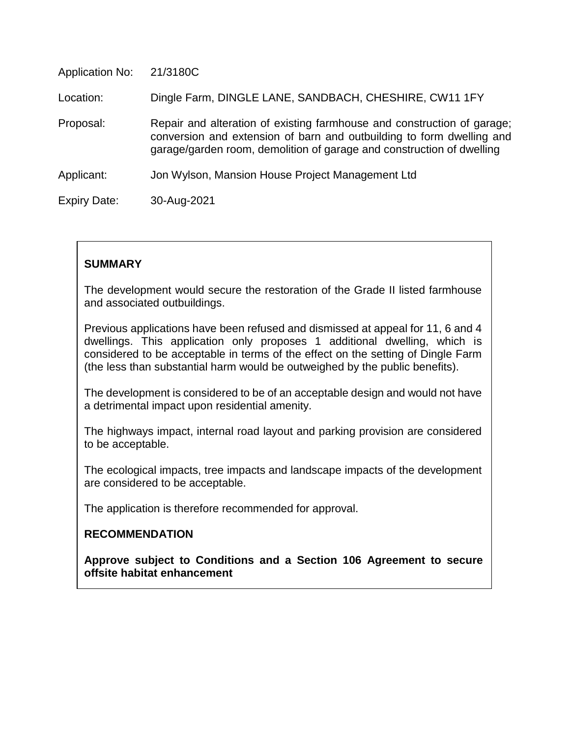| <b>Application No:</b> | 21/3180C                                                                                                                                                                                                                  |
|------------------------|---------------------------------------------------------------------------------------------------------------------------------------------------------------------------------------------------------------------------|
| Location:              | Dingle Farm, DINGLE LANE, SANDBACH, CHESHIRE, CW11 1FY                                                                                                                                                                    |
| Proposal:              | Repair and alteration of existing farmhouse and construction of garage;<br>conversion and extension of barn and outbuilding to form dwelling and<br>garage/garden room, demolition of garage and construction of dwelling |
| Applicant:             | Jon Wylson, Mansion House Project Management Ltd                                                                                                                                                                          |
| <b>Expiry Date:</b>    | 30-Aug-2021                                                                                                                                                                                                               |

### **SUMMARY**

The development would secure the restoration of the Grade II listed farmhouse and associated outbuildings.

Previous applications have been refused and dismissed at appeal for 11, 6 and 4 dwellings. This application only proposes 1 additional dwelling, which is considered to be acceptable in terms of the effect on the setting of Dingle Farm (the less than substantial harm would be outweighed by the public benefits).

The development is considered to be of an acceptable design and would not have a detrimental impact upon residential amenity.

The highways impact, internal road layout and parking provision are considered to be acceptable.

The ecological impacts, tree impacts and landscape impacts of the development are considered to be acceptable.

The application is therefore recommended for approval.

### **RECOMMENDATION**

**Approve subject to Conditions and a Section 106 Agreement to secure offsite habitat enhancement**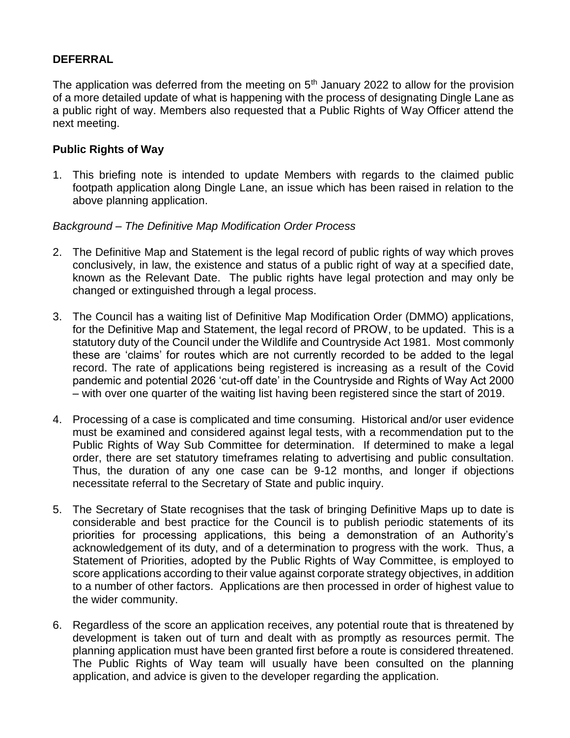## **DEFERRAL**

The application was deferred from the meeting on  $5<sup>th</sup>$  January 2022 to allow for the provision of a more detailed update of what is happening with the process of designating Dingle Lane as a public right of way. Members also requested that a Public Rights of Way Officer attend the next meeting.

### **Public Rights of Way**

1. This briefing note is intended to update Members with regards to the claimed public footpath application along Dingle Lane, an issue which has been raised in relation to the above planning application.

### *Background – The Definitive Map Modification Order Process*

- 2. The Definitive Map and Statement is the legal record of public rights of way which proves conclusively, in law, the existence and status of a public right of way at a specified date, known as the Relevant Date. The public rights have legal protection and may only be changed or extinguished through a legal process.
- 3. The Council has a waiting list of Definitive Map Modification Order (DMMO) applications, for the Definitive Map and Statement, the legal record of PROW, to be updated. This is a statutory duty of the Council under the Wildlife and Countryside Act 1981. Most commonly these are 'claims' for routes which are not currently recorded to be added to the legal record. The rate of applications being registered is increasing as a result of the Covid pandemic and potential 2026 'cut-off date' in the Countryside and Rights of Way Act 2000 – with over one quarter of the waiting list having been registered since the start of 2019.
- 4. Processing of a case is complicated and time consuming. Historical and/or user evidence must be examined and considered against legal tests, with a recommendation put to the Public Rights of Way Sub Committee for determination. If determined to make a legal order, there are set statutory timeframes relating to advertising and public consultation. Thus, the duration of any one case can be 9-12 months, and longer if objections necessitate referral to the Secretary of State and public inquiry.
- 5. The Secretary of State recognises that the task of bringing Definitive Maps up to date is considerable and best practice for the Council is to publish periodic statements of its priorities for processing applications, this being a demonstration of an Authority's acknowledgement of its duty, and of a determination to progress with the work. Thus, a Statement of Priorities, adopted by the Public Rights of Way Committee, is employed to score applications according to their value against corporate strategy objectives, in addition to a number of other factors. Applications are then processed in order of highest value to the wider community.
- 6. Regardless of the score an application receives, any potential route that is threatened by development is taken out of turn and dealt with as promptly as resources permit. The planning application must have been granted first before a route is considered threatened. The Public Rights of Way team will usually have been consulted on the planning application, and advice is given to the developer regarding the application.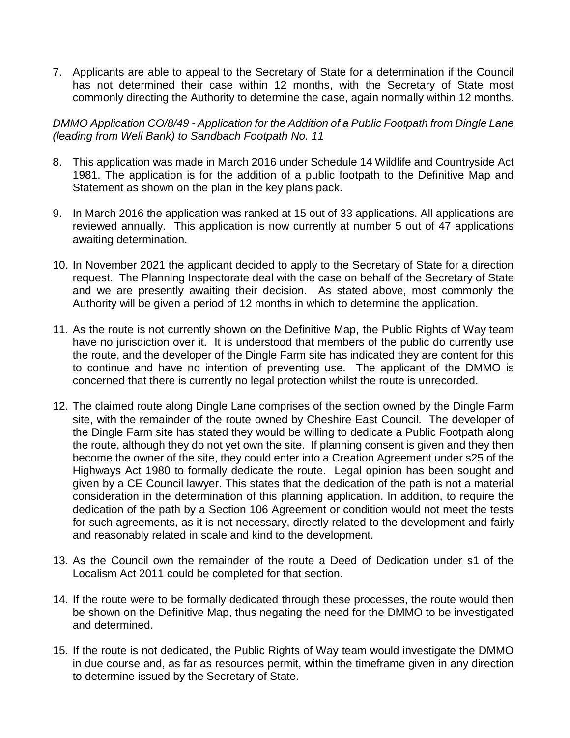7. Applicants are able to appeal to the Secretary of State for a determination if the Council has not determined their case within 12 months, with the Secretary of State most commonly directing the Authority to determine the case, again normally within 12 months.

*DMMO Application CO/8/49 - Application for the Addition of a Public Footpath from Dingle Lane (leading from Well Bank) to Sandbach Footpath No. 11*

- 8. This application was made in March 2016 under Schedule 14 Wildlife and Countryside Act 1981. The application is for the addition of a public footpath to the Definitive Map and Statement as shown on the plan in the key plans pack.
- 9. In March 2016 the application was ranked at 15 out of 33 applications. All applications are reviewed annually. This application is now currently at number 5 out of 47 applications awaiting determination.
- 10. In November 2021 the applicant decided to apply to the Secretary of State for a direction request. The Planning Inspectorate deal with the case on behalf of the Secretary of State and we are presently awaiting their decision. As stated above, most commonly the Authority will be given a period of 12 months in which to determine the application.
- 11. As the route is not currently shown on the Definitive Map, the Public Rights of Way team have no jurisdiction over it. It is understood that members of the public do currently use the route, and the developer of the Dingle Farm site has indicated they are content for this to continue and have no intention of preventing use. The applicant of the DMMO is concerned that there is currently no legal protection whilst the route is unrecorded.
- 12. The claimed route along Dingle Lane comprises of the section owned by the Dingle Farm site, with the remainder of the route owned by Cheshire East Council. The developer of the Dingle Farm site has stated they would be willing to dedicate a Public Footpath along the route, although they do not yet own the site. If planning consent is given and they then become the owner of the site, they could enter into a Creation Agreement under s25 of the Highways Act 1980 to formally dedicate the route. Legal opinion has been sought and given by a CE Council lawyer. This states that the dedication of the path is not a material consideration in the determination of this planning application. In addition, to require the dedication of the path by a Section 106 Agreement or condition would not meet the tests for such agreements, as it is not necessary, directly related to the development and fairly and reasonably related in scale and kind to the development.
- 13. As the Council own the remainder of the route a Deed of Dedication under s1 of the Localism Act 2011 could be completed for that section.
- 14. If the route were to be formally dedicated through these processes, the route would then be shown on the Definitive Map, thus negating the need for the DMMO to be investigated and determined.
- 15. If the route is not dedicated, the Public Rights of Way team would investigate the DMMO in due course and, as far as resources permit, within the timeframe given in any direction to determine issued by the Secretary of State.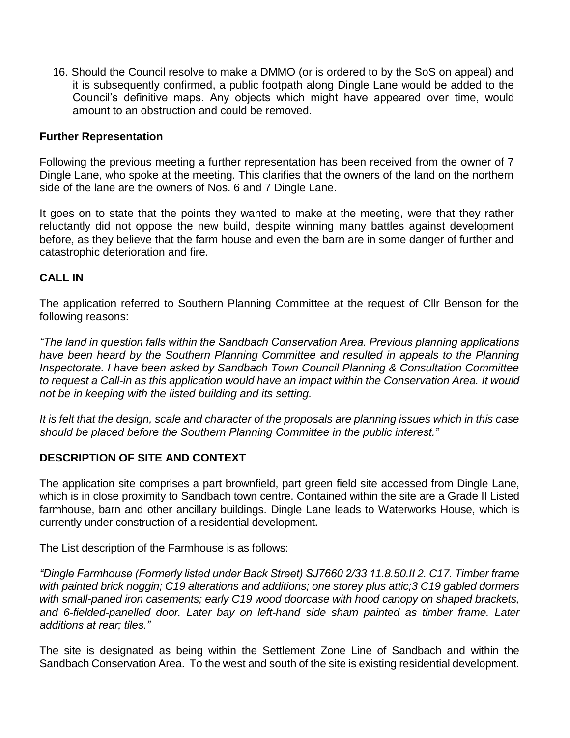16. Should the Council resolve to make a DMMO (or is ordered to by the SoS on appeal) and it is subsequently confirmed, a public footpath along Dingle Lane would be added to the Council's definitive maps. Any objects which might have appeared over time, would amount to an obstruction and could be removed.

### **Further Representation**

Following the previous meeting a further representation has been received from the owner of 7 Dingle Lane, who spoke at the meeting. This clarifies that the owners of the land on the northern side of the lane are the owners of Nos. 6 and 7 Dingle Lane.

It goes on to state that the points they wanted to make at the meeting, were that they rather reluctantly did not oppose the new build, despite winning many battles against development before, as they believe that the farm house and even the barn are in some danger of further and catastrophic deterioration and fire.

### **CALL IN**

The application referred to Southern Planning Committee at the request of Cllr Benson for the following reasons:

*"The land in question falls within the Sandbach Conservation Area. Previous planning applications have been heard by the Southern Planning Committee and resulted in appeals to the Planning Inspectorate. I have been asked by Sandbach Town Council Planning & Consultation Committee to request a Call-in as this application would have an impact within the Conservation Area. It would not be in keeping with the listed building and its setting.*

*It is felt that the design, scale and character of the proposals are planning issues which in this case should be placed before the Southern Planning Committee in the public interest."*

## **DESCRIPTION OF SITE AND CONTEXT**

The application site comprises a part brownfield, part green field site accessed from Dingle Lane, which is in close proximity to Sandbach town centre. Contained within the site are a Grade II Listed farmhouse, barn and other ancillary buildings. Dingle Lane leads to Waterworks House, which is currently under construction of a residential development.

The List description of the Farmhouse is as follows:

*"Dingle Farmhouse (Formerly listed under Back Street) SJ7660 2/33 11.8.50.II 2. C17. Timber frame with painted brick noggin; C19 alterations and additions; one storey plus attic;3 C19 gabled dormers with small-paned iron casements; early C19 wood doorcase with hood canopy on shaped brackets, and 6-fielded-panelled door. Later bay on left-hand side sham painted as timber frame. Later additions at rear; tiles."*

The site is designated as being within the Settlement Zone Line of Sandbach and within the Sandbach Conservation Area. To the west and south of the site is existing residential development.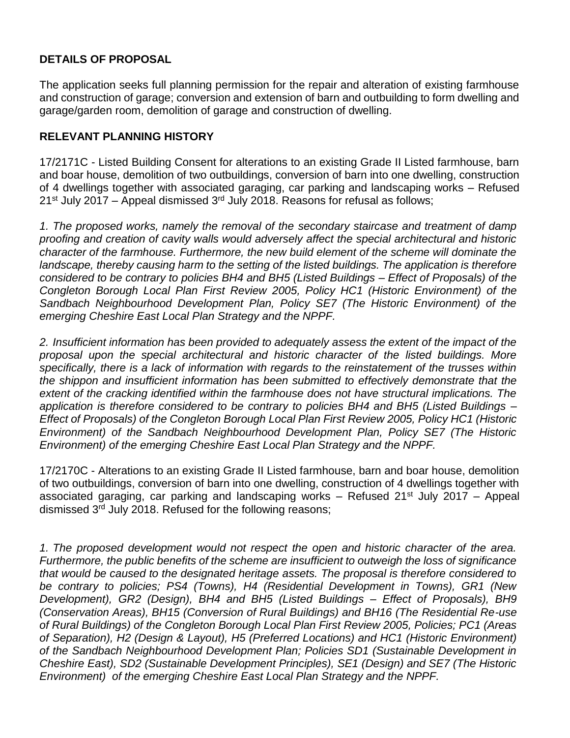# **DETAILS OF PROPOSAL**

The application seeks full planning permission for the repair and alteration of existing farmhouse and construction of garage; conversion and extension of barn and outbuilding to form dwelling and garage/garden room, demolition of garage and construction of dwelling.

## **RELEVANT PLANNING HISTORY**

17/2171C - Listed Building Consent for alterations to an existing Grade II Listed farmhouse, barn and boar house, demolition of two outbuildings, conversion of barn into one dwelling, construction of 4 dwellings together with associated garaging, car parking and landscaping works – Refused 21st July 2017 – Appeal dismissed 3rd July 2018. Reasons for refusal as follows;

*1. The proposed works, namely the removal of the secondary staircase and treatment of damp proofing and creation of cavity walls would adversely affect the special architectural and historic character of the farmhouse. Furthermore, the new build element of the scheme will dominate the*  landscape, thereby causing harm to the setting of the listed buildings. The application is therefore *considered to be contrary to policies BH4 and BH5 (Listed Buildings – Effect of Proposals) of the Congleton Borough Local Plan First Review 2005, Policy HC1 (Historic Environment) of the Sandbach Neighbourhood Development Plan, Policy SE7 (The Historic Environment) of the emerging Cheshire East Local Plan Strategy and the NPPF.*

*2. Insufficient information has been provided to adequately assess the extent of the impact of the proposal upon the special architectural and historic character of the listed buildings. More specifically, there is a lack of information with regards to the reinstatement of the trusses within the shippon and insufficient information has been submitted to effectively demonstrate that the extent of the cracking identified within the farmhouse does not have structural implications. The application is therefore considered to be contrary to policies BH4 and BH5 (Listed Buildings – Effect of Proposals) of the Congleton Borough Local Plan First Review 2005, Policy HC1 (Historic Environment) of the Sandbach Neighbourhood Development Plan, Policy SE7 (The Historic Environment) of the emerging Cheshire East Local Plan Strategy and the NPPF.*

17/2170C - Alterations to an existing Grade II Listed farmhouse, barn and boar house, demolition of two outbuildings, conversion of barn into one dwelling, construction of 4 dwellings together with associated garaging, car parking and landscaping works – Refused  $21^{st}$  July 2017 – Appeal dismissed 3<sup>rd</sup> July 2018. Refused for the following reasons;

*1. The proposed development would not respect the open and historic character of the area. Furthermore, the public benefits of the scheme are insufficient to outweigh the loss of significance that would be caused to the designated heritage assets. The proposal is therefore considered to be contrary to policies; PS4 (Towns), H4 (Residential Development in Towns), GR1 (New Development), GR2 (Design), BH4 and BH5 (Listed Buildings – Effect of Proposals), BH9 (Conservation Areas), BH15 (Conversion of Rural Buildings) and BH16 (The Residential Re-use of Rural Buildings) of the Congleton Borough Local Plan First Review 2005, Policies; PC1 (Areas of Separation), H2 (Design & Layout), H5 (Preferred Locations) and HC1 (Historic Environment) of the Sandbach Neighbourhood Development Plan; Policies SD1 (Sustainable Development in Cheshire East), SD2 (Sustainable Development Principles), SE1 (Design) and SE7 (The Historic Environment) of the emerging Cheshire East Local Plan Strategy and the NPPF.*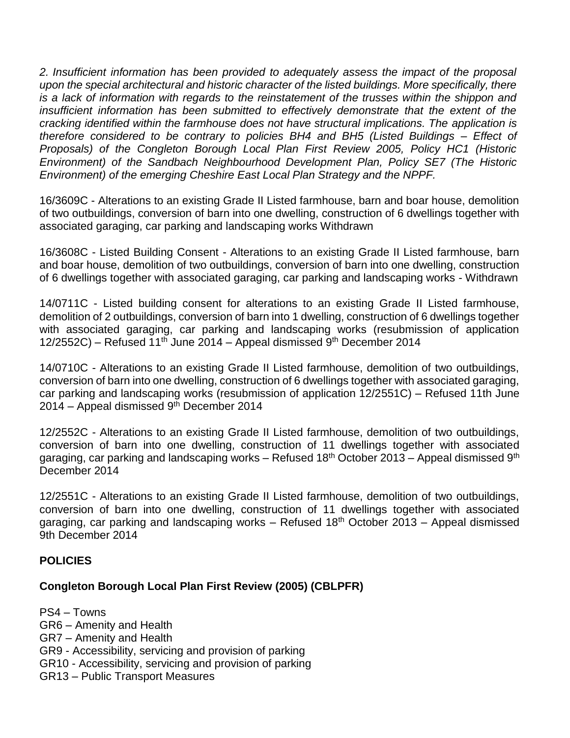*2. Insufficient information has been provided to adequately assess the impact of the proposal upon the special architectural and historic character of the listed buildings. More specifically, there is a lack of information with regards to the reinstatement of the trusses within the shippon and*  insufficient information has been submitted to effectively demonstrate that the extent of the *cracking identified within the farmhouse does not have structural implications. The application is therefore considered to be contrary to policies BH4 and BH5 (Listed Buildings – Effect of Proposals) of the Congleton Borough Local Plan First Review 2005, Policy HC1 (Historic Environment) of the Sandbach Neighbourhood Development Plan, Policy SE7 (The Historic Environment) of the emerging Cheshire East Local Plan Strategy and the NPPF.*

16/3609C - Alterations to an existing Grade II Listed farmhouse, barn and boar house, demolition of two outbuildings, conversion of barn into one dwelling, construction of 6 dwellings together with associated garaging, car parking and landscaping works Withdrawn

16/3608C - Listed Building Consent - Alterations to an existing Grade II Listed farmhouse, barn and boar house, demolition of two outbuildings, conversion of barn into one dwelling, construction of 6 dwellings together with associated garaging, car parking and landscaping works - Withdrawn

14/0711C - Listed building consent for alterations to an existing Grade II Listed farmhouse, demolition of 2 outbuildings, conversion of barn into 1 dwelling, construction of 6 dwellings together with associated garaging, car parking and landscaping works (resubmission of application 12/2552C) – Refused 11<sup>th</sup> June 2014 – Appeal dismissed  $9<sup>th</sup>$  December 2014

14/0710C - Alterations to an existing Grade II Listed farmhouse, demolition of two outbuildings, conversion of barn into one dwelling, construction of 6 dwellings together with associated garaging, car parking and landscaping works (resubmission of application 12/2551C) – Refused 11th June 2014 – Appeal dismissed 9<sup>th</sup> December 2014

12/2552C - Alterations to an existing Grade II Listed farmhouse, demolition of two outbuildings, conversion of barn into one dwelling, construction of 11 dwellings together with associated garaging, car parking and landscaping works – Refused 18<sup>th</sup> October 2013 – Appeal dismissed 9<sup>th</sup> December 2014

12/2551C - Alterations to an existing Grade II Listed farmhouse, demolition of two outbuildings, conversion of barn into one dwelling, construction of 11 dwellings together with associated garaging, car parking and landscaping works  $-$  Refused 18<sup>th</sup> October 2013 – Appeal dismissed 9th December 2014

### **POLICIES**

### **Congleton Borough Local Plan First Review (2005) (CBLPFR)**

PS4 – Towns GR6 – Amenity and Health GR7 – Amenity and Health GR9 - Accessibility, servicing and provision of parking GR10 - Accessibility, servicing and provision of parking GR13 – Public Transport Measures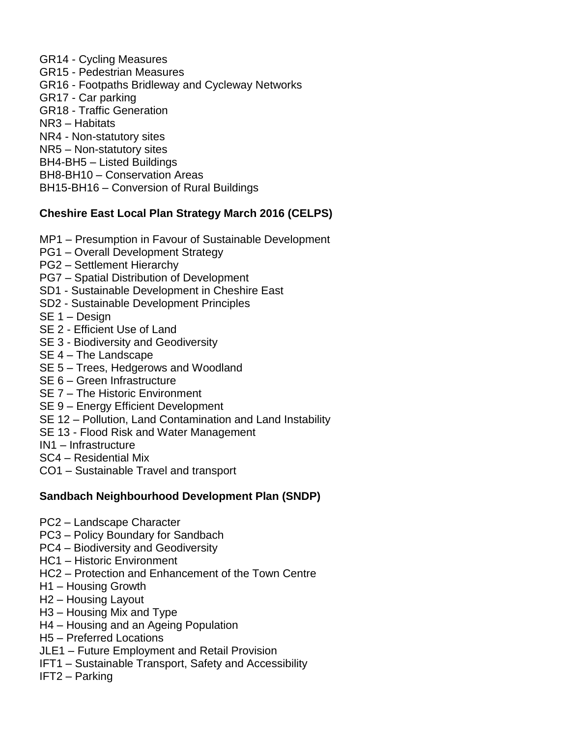GR14 - Cycling Measures GR15 - Pedestrian Measures GR16 - Footpaths Bridleway and Cycleway Networks GR17 - Car parking GR18 - Traffic Generation NR3 – Habitats NR4 - Non-statutory sites NR5 – Non-statutory sites BH4-BH5 – Listed Buildings BH8-BH10 – Conservation Areas BH15-BH16 – Conversion of Rural Buildings

# **Cheshire East Local Plan Strategy March 2016 (CELPS)**

- MP1 Presumption in Favour of Sustainable Development
- PG1 Overall Development Strategy
- PG2 Settlement Hierarchy
- PG7 Spatial Distribution of Development
- SD1 Sustainable Development in Cheshire East
- SD2 Sustainable Development Principles
- SE 1 Design
- SE 2 Efficient Use of Land
- SE 3 Biodiversity and Geodiversity
- SE 4 The Landscape
- SE 5 Trees, Hedgerows and Woodland
- SE 6 Green Infrastructure
- SE 7 The Historic Environment
- SE 9 Energy Efficient Development
- SE 12 Pollution, Land Contamination and Land Instability
- SE 13 Flood Risk and Water Management
- IN1 Infrastructure
- SC4 Residential Mix
- CO1 Sustainable Travel and transport

## **Sandbach Neighbourhood Development Plan (SNDP)**

- PC2 Landscape Character
- PC3 Policy Boundary for Sandbach
- PC4 Biodiversity and Geodiversity
- HC1 Historic Environment
- HC2 Protection and Enhancement of the Town Centre
- H1 Housing Growth
- H2 Housing Layout
- H3 Housing Mix and Type
- H4 Housing and an Ageing Population
- H5 Preferred Locations
- JLE1 Future Employment and Retail Provision
- IFT1 Sustainable Transport, Safety and Accessibility
- IFT2 Parking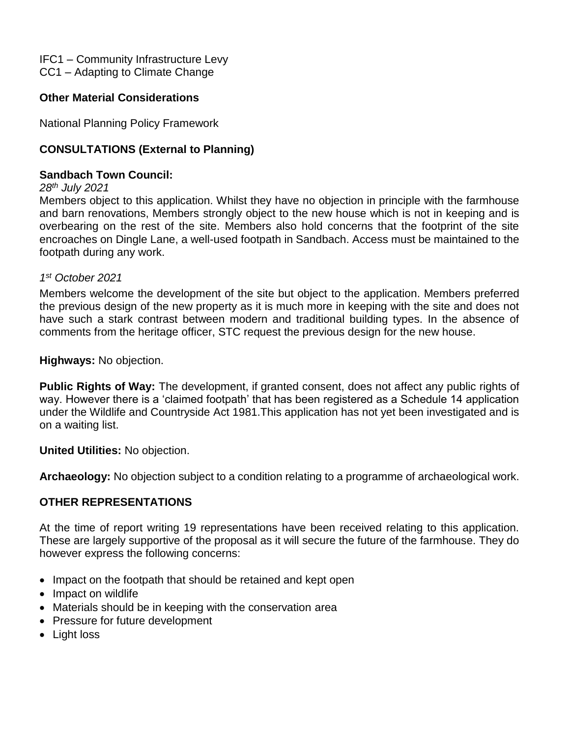IFC1 – Community Infrastructure Levy CC1 – Adapting to Climate Change

## **Other Material Considerations**

National Planning Policy Framework

## **CONSULTATIONS (External to Planning)**

### **Sandbach Town Council:**

#### *28th July 2021*

Members object to this application. Whilst they have no objection in principle with the farmhouse and barn renovations, Members strongly object to the new house which is not in keeping and is overbearing on the rest of the site. Members also hold concerns that the footprint of the site encroaches on Dingle Lane, a well-used footpath in Sandbach. Access must be maintained to the footpath during any work.

### *1 st October 2021*

Members welcome the development of the site but object to the application. Members preferred the previous design of the new property as it is much more in keeping with the site and does not have such a stark contrast between modern and traditional building types. In the absence of comments from the heritage officer, STC request the previous design for the new house.

**Highways:** No objection.

**Public Rights of Way:** The development, if granted consent, does not affect any public rights of way. However there is a 'claimed footpath' that has been registered as a Schedule 14 application under the Wildlife and Countryside Act 1981.This application has not yet been investigated and is on a waiting list.

### **United Utilities:** No objection.

**Archaeology:** No objection subject to a condition relating to a programme of archaeological work.

### **OTHER REPRESENTATIONS**

At the time of report writing 19 representations have been received relating to this application. These are largely supportive of the proposal as it will secure the future of the farmhouse. They do however express the following concerns:

- Impact on the footpath that should be retained and kept open
- Impact on wildlife
- Materials should be in keeping with the conservation area
- Pressure for future development
- Light loss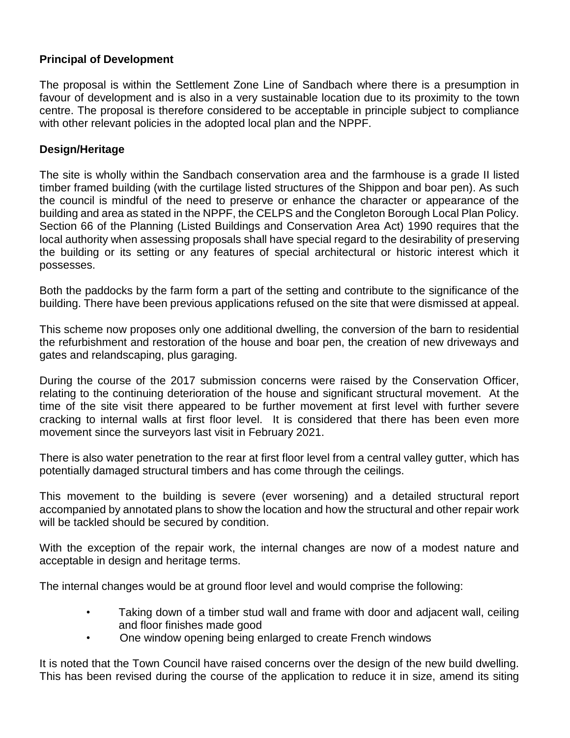## **Principal of Development**

The proposal is within the Settlement Zone Line of Sandbach where there is a presumption in favour of development and is also in a very sustainable location due to its proximity to the town centre. The proposal is therefore considered to be acceptable in principle subject to compliance with other relevant policies in the adopted local plan and the NPPF.

## **Design/Heritage**

The site is wholly within the Sandbach conservation area and the farmhouse is a grade II listed timber framed building (with the curtilage listed structures of the Shippon and boar pen). As such the council is mindful of the need to preserve or enhance the character or appearance of the building and area as stated in the NPPF, the CELPS and the Congleton Borough Local Plan Policy. Section 66 of the Planning (Listed Buildings and Conservation Area Act) 1990 requires that the local authority when assessing proposals shall have special regard to the desirability of preserving the building or its setting or any features of special architectural or historic interest which it possesses.

Both the paddocks by the farm form a part of the setting and contribute to the significance of the building. There have been previous applications refused on the site that were dismissed at appeal.

This scheme now proposes only one additional dwelling, the conversion of the barn to residential the refurbishment and restoration of the house and boar pen, the creation of new driveways and gates and relandscaping, plus garaging.

During the course of the 2017 submission concerns were raised by the Conservation Officer, relating to the continuing deterioration of the house and significant structural movement. At the time of the site visit there appeared to be further movement at first level with further severe cracking to internal walls at first floor level. It is considered that there has been even more movement since the surveyors last visit in February 2021.

There is also water penetration to the rear at first floor level from a central valley gutter, which has potentially damaged structural timbers and has come through the ceilings.

This movement to the building is severe (ever worsening) and a detailed structural report accompanied by annotated plans to show the location and how the structural and other repair work will be tackled should be secured by condition.

With the exception of the repair work, the internal changes are now of a modest nature and acceptable in design and heritage terms.

The internal changes would be at ground floor level and would comprise the following:

- Taking down of a timber stud wall and frame with door and adjacent wall, ceiling and floor finishes made good
- One window opening being enlarged to create French windows

It is noted that the Town Council have raised concerns over the design of the new build dwelling. This has been revised during the course of the application to reduce it in size, amend its siting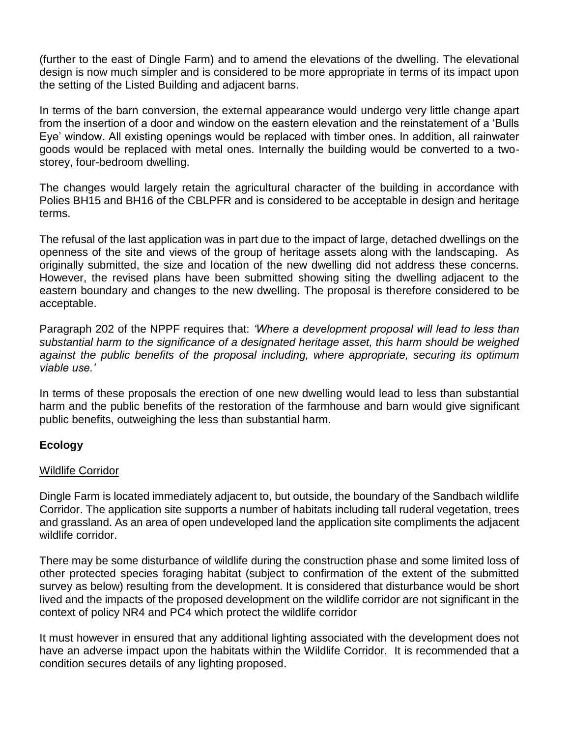(further to the east of Dingle Farm) and to amend the elevations of the dwelling. The elevational design is now much simpler and is considered to be more appropriate in terms of its impact upon the setting of the Listed Building and adjacent barns.

In terms of the barn conversion, the external appearance would undergo very little change apart from the insertion of a door and window on the eastern elevation and the reinstatement of a 'Bulls Eye' window. All existing openings would be replaced with timber ones. In addition, all rainwater goods would be replaced with metal ones. Internally the building would be converted to a twostorey, four-bedroom dwelling.

The changes would largely retain the agricultural character of the building in accordance with Polies BH15 and BH16 of the CBLPFR and is considered to be acceptable in design and heritage terms.

The refusal of the last application was in part due to the impact of large, detached dwellings on the openness of the site and views of the group of heritage assets along with the landscaping. As originally submitted, the size and location of the new dwelling did not address these concerns. However, the revised plans have been submitted showing siting the dwelling adjacent to the eastern boundary and changes to the new dwelling. The proposal is therefore considered to be acceptable.

Paragraph 202 of the NPPF requires that: *'Where a development proposal will lead to less than substantial harm to the significance of a designated heritage asset, this harm should be weighed against the public benefits of the proposal including, where appropriate, securing its optimum viable use.'*

In terms of these proposals the erection of one new dwelling would lead to less than substantial harm and the public benefits of the restoration of the farmhouse and barn would give significant public benefits, outweighing the less than substantial harm.

### **Ecology**

### Wildlife Corridor

Dingle Farm is located immediately adjacent to, but outside, the boundary of the Sandbach wildlife Corridor. The application site supports a number of habitats including tall ruderal vegetation, trees and grassland. As an area of open undeveloped land the application site compliments the adjacent wildlife corridor.

There may be some disturbance of wildlife during the construction phase and some limited loss of other protected species foraging habitat (subject to confirmation of the extent of the submitted survey as below) resulting from the development. It is considered that disturbance would be short lived and the impacts of the proposed development on the wildlife corridor are not significant in the context of policy NR4 and PC4 which protect the wildlife corridor

It must however in ensured that any additional lighting associated with the development does not have an adverse impact upon the habitats within the Wildlife Corridor. It is recommended that a condition secures details of any lighting proposed.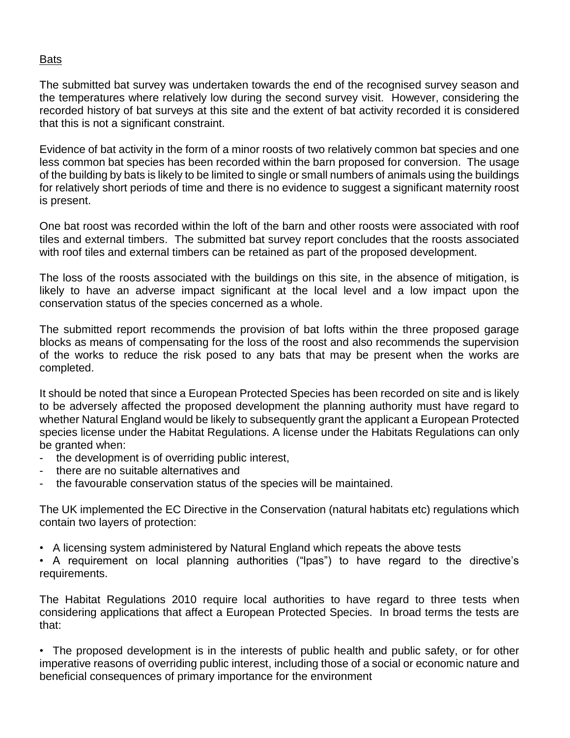### Bats

The submitted bat survey was undertaken towards the end of the recognised survey season and the temperatures where relatively low during the second survey visit. However, considering the recorded history of bat surveys at this site and the extent of bat activity recorded it is considered that this is not a significant constraint.

Evidence of bat activity in the form of a minor roosts of two relatively common bat species and one less common bat species has been recorded within the barn proposed for conversion. The usage of the building by bats is likely to be limited to single or small numbers of animals using the buildings for relatively short periods of time and there is no evidence to suggest a significant maternity roost is present.

One bat roost was recorded within the loft of the barn and other roosts were associated with roof tiles and external timbers. The submitted bat survey report concludes that the roosts associated with roof tiles and external timbers can be retained as part of the proposed development.

The loss of the roosts associated with the buildings on this site, in the absence of mitigation, is likely to have an adverse impact significant at the local level and a low impact upon the conservation status of the species concerned as a whole.

The submitted report recommends the provision of bat lofts within the three proposed garage blocks as means of compensating for the loss of the roost and also recommends the supervision of the works to reduce the risk posed to any bats that may be present when the works are completed.

It should be noted that since a European Protected Species has been recorded on site and is likely to be adversely affected the proposed development the planning authority must have regard to whether Natural England would be likely to subsequently grant the applicant a European Protected species license under the Habitat Regulations. A license under the Habitats Regulations can only be granted when:

- the development is of overriding public interest,
- there are no suitable alternatives and
- the favourable conservation status of the species will be maintained.

The UK implemented the EC Directive in the Conservation (natural habitats etc) regulations which contain two layers of protection:

• A licensing system administered by Natural England which repeats the above tests

• A requirement on local planning authorities ("lpas") to have regard to the directive's requirements.

The Habitat Regulations 2010 require local authorities to have regard to three tests when considering applications that affect a European Protected Species. In broad terms the tests are that:

• The proposed development is in the interests of public health and public safety, or for other imperative reasons of overriding public interest, including those of a social or economic nature and beneficial consequences of primary importance for the environment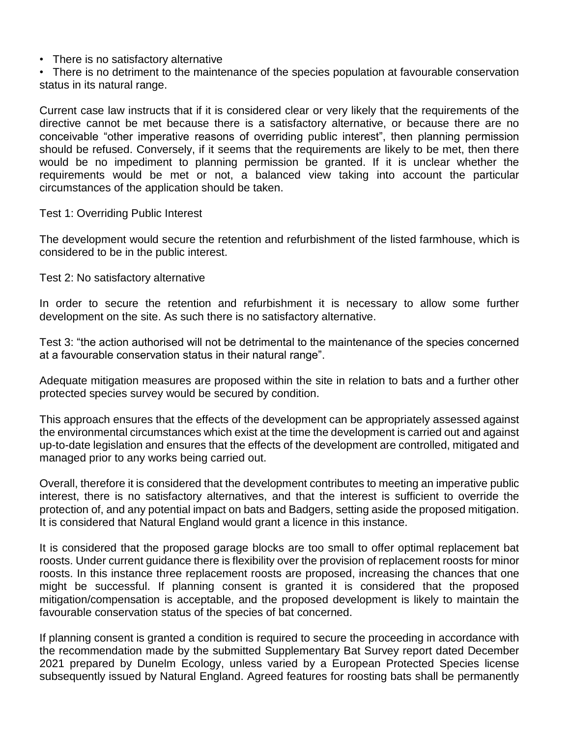• There is no satisfactory alternative

• There is no detriment to the maintenance of the species population at favourable conservation status in its natural range.

Current case law instructs that if it is considered clear or very likely that the requirements of the directive cannot be met because there is a satisfactory alternative, or because there are no conceivable "other imperative reasons of overriding public interest", then planning permission should be refused. Conversely, if it seems that the requirements are likely to be met, then there would be no impediment to planning permission be granted. If it is unclear whether the requirements would be met or not, a balanced view taking into account the particular circumstances of the application should be taken.

#### Test 1: Overriding Public Interest

The development would secure the retention and refurbishment of the listed farmhouse, which is considered to be in the public interest.

Test 2: No satisfactory alternative

In order to secure the retention and refurbishment it is necessary to allow some further development on the site. As such there is no satisfactory alternative.

Test 3: "the action authorised will not be detrimental to the maintenance of the species concerned at a favourable conservation status in their natural range".

Adequate mitigation measures are proposed within the site in relation to bats and a further other protected species survey would be secured by condition.

This approach ensures that the effects of the development can be appropriately assessed against the environmental circumstances which exist at the time the development is carried out and against up-to-date legislation and ensures that the effects of the development are controlled, mitigated and managed prior to any works being carried out.

Overall, therefore it is considered that the development contributes to meeting an imperative public interest, there is no satisfactory alternatives, and that the interest is sufficient to override the protection of, and any potential impact on bats and Badgers, setting aside the proposed mitigation. It is considered that Natural England would grant a licence in this instance.

It is considered that the proposed garage blocks are too small to offer optimal replacement bat roosts. Under current guidance there is flexibility over the provision of replacement roosts for minor roosts. In this instance three replacement roosts are proposed, increasing the chances that one might be successful. If planning consent is granted it is considered that the proposed mitigation/compensation is acceptable, and the proposed development is likely to maintain the favourable conservation status of the species of bat concerned.

If planning consent is granted a condition is required to secure the proceeding in accordance with the recommendation made by the submitted Supplementary Bat Survey report dated December 2021 prepared by Dunelm Ecology, unless varied by a European Protected Species license subsequently issued by Natural England. Agreed features for roosting bats shall be permanently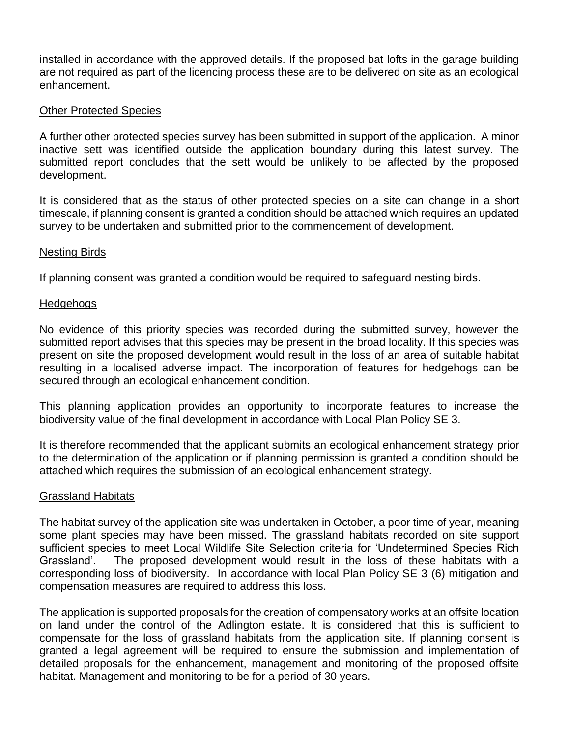installed in accordance with the approved details. If the proposed bat lofts in the garage building are not required as part of the licencing process these are to be delivered on site as an ecological enhancement.

#### Other Protected Species

A further other protected species survey has been submitted in support of the application. A minor inactive sett was identified outside the application boundary during this latest survey. The submitted report concludes that the sett would be unlikely to be affected by the proposed development.

It is considered that as the status of other protected species on a site can change in a short timescale, if planning consent is granted a condition should be attached which requires an updated survey to be undertaken and submitted prior to the commencement of development.

#### Nesting Birds

If planning consent was granted a condition would be required to safeguard nesting birds.

#### Hedgehogs

No evidence of this priority species was recorded during the submitted survey, however the submitted report advises that this species may be present in the broad locality. If this species was present on site the proposed development would result in the loss of an area of suitable habitat resulting in a localised adverse impact. The incorporation of features for hedgehogs can be secured through an ecological enhancement condition.

This planning application provides an opportunity to incorporate features to increase the biodiversity value of the final development in accordance with Local Plan Policy SE 3.

It is therefore recommended that the applicant submits an ecological enhancement strategy prior to the determination of the application or if planning permission is granted a condition should be attached which requires the submission of an ecological enhancement strategy.

#### Grassland Habitats

The habitat survey of the application site was undertaken in October, a poor time of year, meaning some plant species may have been missed. The grassland habitats recorded on site support sufficient species to meet Local Wildlife Site Selection criteria for 'Undetermined Species Rich Grassland'. The proposed development would result in the loss of these habitats with a corresponding loss of biodiversity. In accordance with local Plan Policy SE 3 (6) mitigation and compensation measures are required to address this loss.

The application is supported proposals for the creation of compensatory works at an offsite location on land under the control of the Adlington estate. It is considered that this is sufficient to compensate for the loss of grassland habitats from the application site. If planning consent is granted a legal agreement will be required to ensure the submission and implementation of detailed proposals for the enhancement, management and monitoring of the proposed offsite habitat. Management and monitoring to be for a period of 30 years.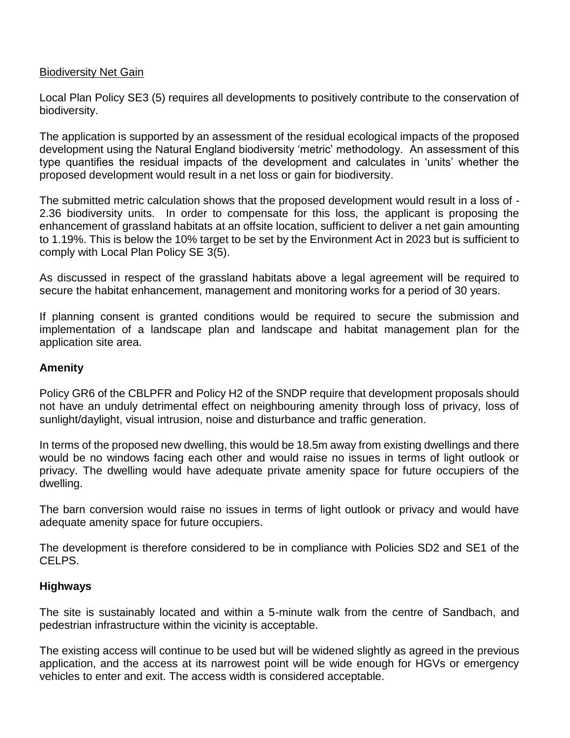### Biodiversity Net Gain

Local Plan Policy SE3 (5) requires all developments to positively contribute to the conservation of biodiversity.

The application is supported by an assessment of the residual ecological impacts of the proposed development using the Natural England biodiversity 'metric' methodology. An assessment of this type quantifies the residual impacts of the development and calculates in 'units' whether the proposed development would result in a net loss or gain for biodiversity.

The submitted metric calculation shows that the proposed development would result in a loss of - 2.36 biodiversity units. In order to compensate for this loss, the applicant is proposing the enhancement of grassland habitats at an offsite location, sufficient to deliver a net gain amounting to 1.19%. This is below the 10% target to be set by the Environment Act in 2023 but is sufficient to comply with Local Plan Policy SE 3(5).

As discussed in respect of the grassland habitats above a legal agreement will be required to secure the habitat enhancement, management and monitoring works for a period of 30 years.

If planning consent is granted conditions would be required to secure the submission and implementation of a landscape plan and landscape and habitat management plan for the application site area.

### **Amenity**

Policy GR6 of the CBLPFR and Policy H2 of the SNDP require that development proposals should not have an unduly detrimental effect on neighbouring amenity through loss of privacy, loss of sunlight/daylight, visual intrusion, noise and disturbance and traffic generation.

In terms of the proposed new dwelling, this would be 18.5m away from existing dwellings and there would be no windows facing each other and would raise no issues in terms of light outlook or privacy. The dwelling would have adequate private amenity space for future occupiers of the dwelling.

The barn conversion would raise no issues in terms of light outlook or privacy and would have adequate amenity space for future occupiers.

The development is therefore considered to be in compliance with Policies SD2 and SE1 of the CELPS.

### **Highways**

The site is sustainably located and within a 5-minute walk from the centre of Sandbach, and pedestrian infrastructure within the vicinity is acceptable.

The existing access will continue to be used but will be widened slightly as agreed in the previous application, and the access at its narrowest point will be wide enough for HGVs or emergency vehicles to enter and exit. The access width is considered acceptable.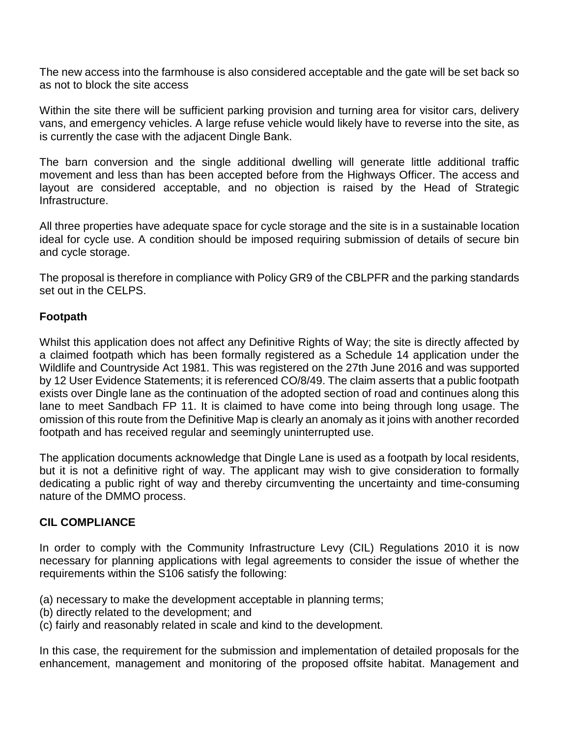The new access into the farmhouse is also considered acceptable and the gate will be set back so as not to block the site access

Within the site there will be sufficient parking provision and turning area for visitor cars, delivery vans, and emergency vehicles. A large refuse vehicle would likely have to reverse into the site, as is currently the case with the adjacent Dingle Bank.

The barn conversion and the single additional dwelling will generate little additional traffic movement and less than has been accepted before from the Highways Officer. The access and layout are considered acceptable, and no objection is raised by the Head of Strategic Infrastructure.

All three properties have adequate space for cycle storage and the site is in a sustainable location ideal for cycle use. A condition should be imposed requiring submission of details of secure bin and cycle storage.

The proposal is therefore in compliance with Policy GR9 of the CBLPFR and the parking standards set out in the CELPS.

### **Footpath**

Whilst this application does not affect any Definitive Rights of Way; the site is directly affected by a claimed footpath which has been formally registered as a Schedule 14 application under the Wildlife and Countryside Act 1981. This was registered on the 27th June 2016 and was supported by 12 User Evidence Statements; it is referenced CO/8/49. The claim asserts that a public footpath exists over Dingle lane as the continuation of the adopted section of road and continues along this lane to meet Sandbach FP 11. It is claimed to have come into being through long usage. The omission of this route from the Definitive Map is clearly an anomaly as it joins with another recorded footpath and has received regular and seemingly uninterrupted use.

The application documents acknowledge that Dingle Lane is used as a footpath by local residents, but it is not a definitive right of way. The applicant may wish to give consideration to formally dedicating a public right of way and thereby circumventing the uncertainty and time-consuming nature of the DMMO process.

## **CIL COMPLIANCE**

In order to comply with the Community Infrastructure Levy (CIL) Regulations 2010 it is now necessary for planning applications with legal agreements to consider the issue of whether the requirements within the S106 satisfy the following:

- (a) necessary to make the development acceptable in planning terms;
- (b) directly related to the development; and
- (c) fairly and reasonably related in scale and kind to the development.

In this case, the requirement for the submission and implementation of detailed proposals for the enhancement, management and monitoring of the proposed offsite habitat. Management and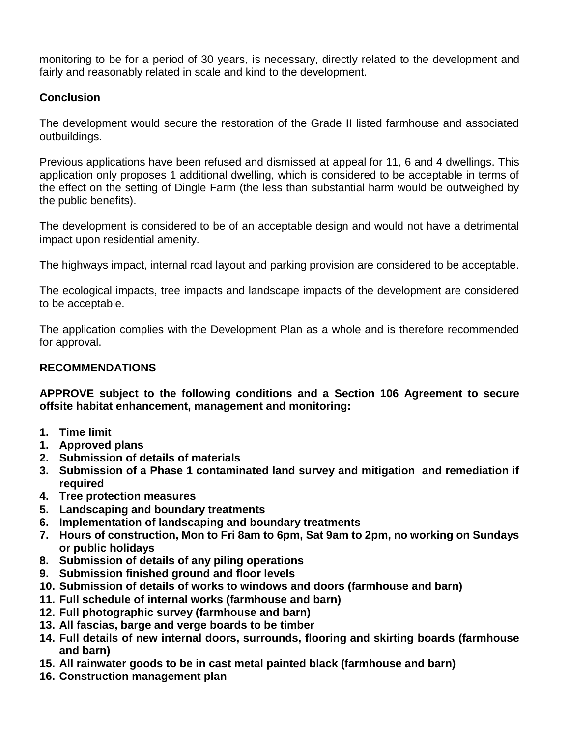monitoring to be for a period of 30 years, is necessary, directly related to the development and fairly and reasonably related in scale and kind to the development.

# **Conclusion**

The development would secure the restoration of the Grade II listed farmhouse and associated outbuildings.

Previous applications have been refused and dismissed at appeal for 11, 6 and 4 dwellings. This application only proposes 1 additional dwelling, which is considered to be acceptable in terms of the effect on the setting of Dingle Farm (the less than substantial harm would be outweighed by the public benefits).

The development is considered to be of an acceptable design and would not have a detrimental impact upon residential amenity.

The highways impact, internal road layout and parking provision are considered to be acceptable.

The ecological impacts, tree impacts and landscape impacts of the development are considered to be acceptable.

The application complies with the Development Plan as a whole and is therefore recommended for approval.

# **RECOMMENDATIONS**

**APPROVE subject to the following conditions and a Section 106 Agreement to secure offsite habitat enhancement, management and monitoring:**

- **1. Time limit**
- **1. Approved plans**
- **2. Submission of details of materials**
- **3. Submission of a Phase 1 contaminated land survey and mitigation and remediation if required**
- **4. Tree protection measures**
- **5. Landscaping and boundary treatments**
- **6. Implementation of landscaping and boundary treatments**
- **7. Hours of construction, Mon to Fri 8am to 6pm, Sat 9am to 2pm, no working on Sundays or public holidays**
- **8. Submission of details of any piling operations**
- **9. Submission finished ground and floor levels**
- **10. Submission of details of works to windows and doors (farmhouse and barn)**
- **11. Full schedule of internal works (farmhouse and barn)**
- **12. Full photographic survey (farmhouse and barn)**
- **13. All fascias, barge and verge boards to be timber**
- **14. Full details of new internal doors, surrounds, flooring and skirting boards (farmhouse and barn)**
- **15. All rainwater goods to be in cast metal painted black (farmhouse and barn)**
- **16. Construction management plan**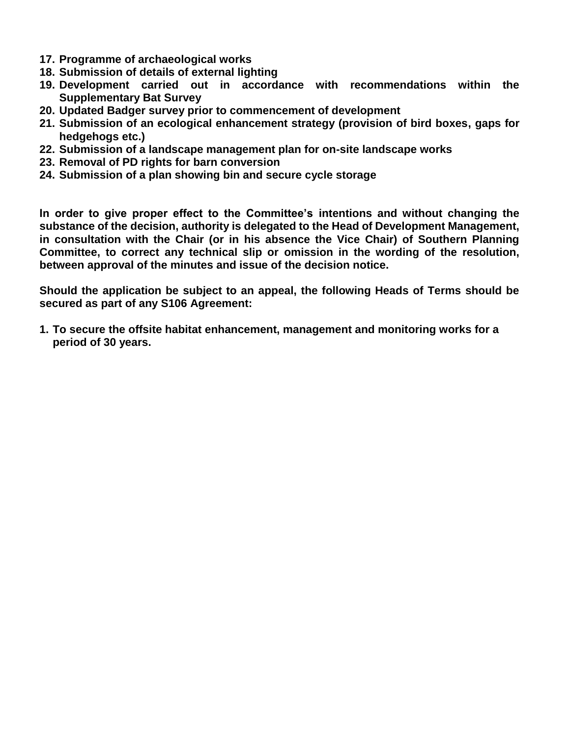- **17. Programme of archaeological works**
- **18. Submission of details of external lighting**
- **19. Development carried out in accordance with recommendations within the Supplementary Bat Survey**
- **20. Updated Badger survey prior to commencement of development**
- **21. Submission of an ecological enhancement strategy (provision of bird boxes, gaps for hedgehogs etc.)**
- **22. Submission of a landscape management plan for on-site landscape works**
- **23. Removal of PD rights for barn conversion**
- **24. Submission of a plan showing bin and secure cycle storage**

**In order to give proper effect to the Committee's intentions and without changing the substance of the decision, authority is delegated to the Head of Development Management, in consultation with the Chair (or in his absence the Vice Chair) of Southern Planning Committee, to correct any technical slip or omission in the wording of the resolution, between approval of the minutes and issue of the decision notice.**

**Should the application be subject to an appeal, the following Heads of Terms should be secured as part of any S106 Agreement:**

**1. To secure the offsite habitat enhancement, management and monitoring works for a period of 30 years.**